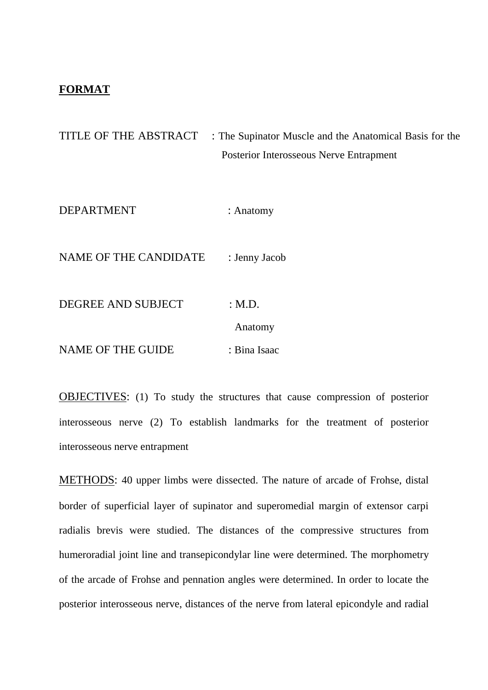## **FORMAT**

TITLE OF THE ABSTRACT : The Supinator Muscle and the Anatomical Basis for the Posterior Interosseous Nerve Entrapment

DEPARTMENT : Anatomy

NAME OF THE CANDIDATE : Jenny Jacob

DEGREE AND SUBJECT : M.D. Anatomy NAME OF THE GUIDE : Bina Isaac

OBJECTIVES: (1) To study the structures that cause compression of posterior interosseous nerve (2) To establish landmarks for the treatment of posterior interosseous nerve entrapment

METHODS: 40 upper limbs were dissected. The nature of arcade of Frohse, distal border of superficial layer of supinator and superomedial margin of extensor carpi radialis brevis were studied. The distances of the compressive structures from humeroradial joint line and transepicondylar line were determined. The morphometry of the arcade of Frohse and pennation angles were determined. In order to locate the posterior interosseous nerve, distances of the nerve from lateral epicondyle and radial